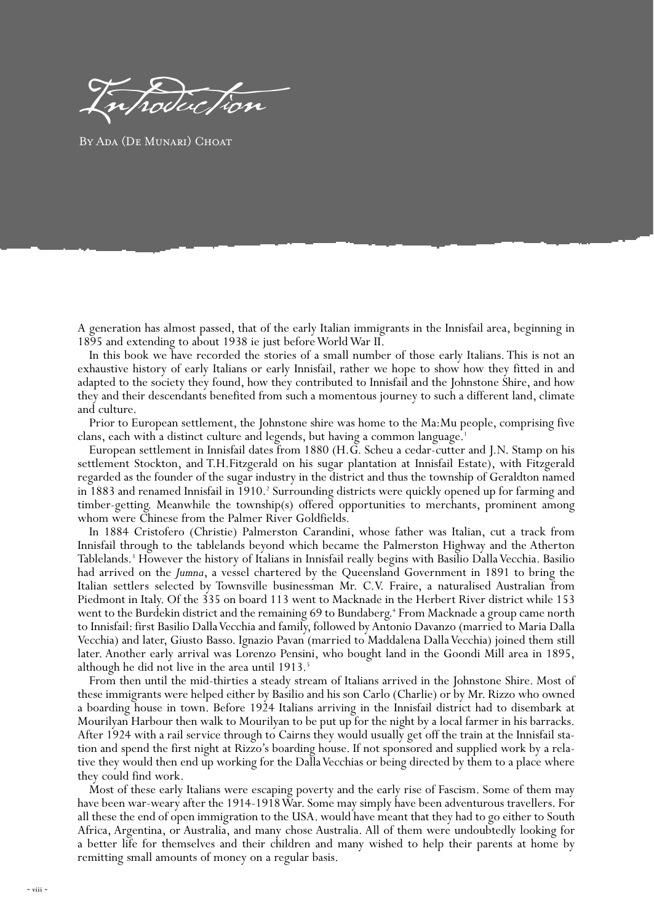Introduction

BY ADA (DE MUNARI) CHOAT

A generation has almost passed, that of the early Italian immigrants in the Innisfail area, beginning in 1895 and extending to about 1938 ie just before World War II.

In this book we have recorded the stories of a small number of those early Italians. This is not an exhaustive history of early Italians or early Innisfail, rather we hope to show how they fitted in and adapted to the society they found, how they contributed to Innisfail and the Johnstone Shire, and how they and their descendants benefited from such a momentous journey to such a different land, climate and culture.

Prior to European settlement, the Johnstone shire was home to the Ma:Mu people, comprising five clans, each with a distinct culture and legends, but having a common language.<sup>1</sup>

European settlement in Innisfail dates from 1880 (H.G. Scheu a cedar-cutter and J.N. Stamp on his settlement Stockton, and T.H.Fitzgerald on his sugar plantation at Innisfail Estate), with Fitzgerald regarded as the founder of the sugar industry in the district and thus the township of Geraldton named in 1883 and renamed Innisfail in 1910.<sup>2</sup> Surrounding districts were quickly opened up for farming and timber-getting. Meanwhile the township(s) offered opportunities to merchants, prominent among whom were Chinese from the Palmer River Goldfields.

In 1884 Cristofero (Christie) Palmerston Carandini, whose father was Italian, cut a track from Innisfail through to the tablelands beyond which became the Palmerston Highway and the Atherton Tablelands.3 However the history of Italians in Innisfail really begins with Basilio Dalla Vecchia. Basilio had arrived on the *Jumna*, a vessel chartered by the Queensland Government in 1891 to bring the Italian settlers selected by Townsville businessman Mr. C.V. Fraire, a naturalised Australian from Piedmont in Italy. Of the 335 on board 113 went to Macknade in the Herbert River district while 153 went to the Burdekin district and the remaining 69 to Bundaberg.4 From Macknade a group came north to Innisfail: first Basilio Dalla Vecchia and family, followed by Antonio Davanzo (married to Maria Dalla Vecchia) and later, Giusto Basso. Ignazio Pavan (married to Maddalena Dalla Vecchia) joined them still later. Another early arrival was Lorenzo Pensini, who bought land in the Goondi Mill area in 1895, although he did not live in the area until 1913.<sup>5</sup>

From then until the mid-thirties a steady stream of Italians arrived in the Johnstone Shire. Most of these immigrants were helped either by Basilio and his son Carlo (Charlie) or by Mr. Rizzo who owned a boarding house in town. Before 1924 Italians arriving in the Innisfail district had to disembark at Mourilyan Harbour then walk to Mourilyan to be put up for the night by a local farmer in his barracks. After 1924 with a rail service through to Cairns they would usually get off the train at the Innisfail station and spend the first night at Rizzo's boarding house. If not sponsored and supplied work by a relative they would then end up working for the Dalla Vecchias or being directed by them to a place where they could find work.

Most of these early Italians were escaping poverty and the early rise of Fascism. Some of them may have been war-weary after the 1914-1918 War. Some may simply have been adventurous travellers. For all these the end of open immigration to the USA. would have meant that they had to go either to South Africa, Argentina, or Australia, and many chose Australia. All of them were undoubtedly looking for a better life for themselves and their children and many wished to help their parents at home by remitting small amounts of money on a regular basis.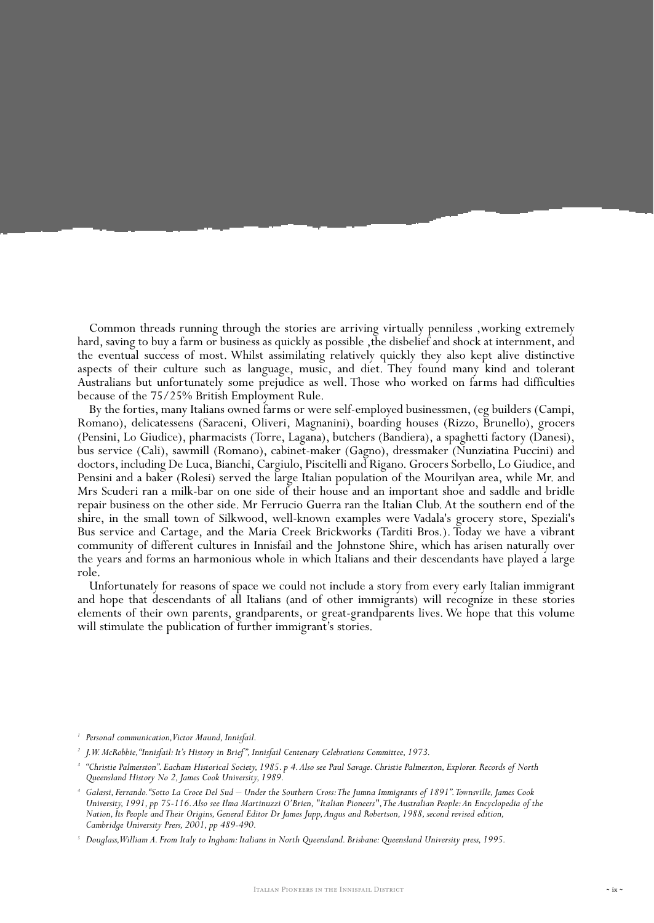Common threads running through the stories are arriving virtually penniless ,working extremely hard, saving to buy a farm or business as quickly as possible, the disbelief and shock at internment, and the eventual success of most. Whilst assimilating relatively quickly they also kept alive distinctive aspects of their culture such as language, music, and diet. They found many kind and tolerant Australians but unfortunately some prejudice as well. Those who worked on farms had difficulties because of the 75/25% British Employment Rule.

By the forties, many Italians owned farms or were self-employed businessmen, (eg builders (Campi, Romano), delicatessens (Saraceni, Oliveri, Magnanini), boarding houses (Rizzo, Brunello), grocers (Pensini, Lo Giudice), pharmacists (Torre, Lagana), butchers (Bandiera), a spaghetti factory (Danesi), bus service (Cali), sawmill (Romano), cabinet-maker (Gagno), dressmaker (Nunziatina Puccini) and doctors, including De Luca, Bianchi, Cargiulo, Piscitelli and Rigano. Grocers Sorbello, Lo Giudice, and Pensini and a baker (Rolesi) served the large Italian population of the Mourilyan area, while Mr. and Mrs Scuderi ran a milk-bar on one side of their house and an important shoe and saddle and bridle repair business on the other side. Mr Ferrucio Guerra ran the Italian Club. At the southern end of the shire, in the small town of Silkwood, well-known examples were Vadala's grocery store, Speziali's Bus service and Cartage, and the Maria Creek Brickworks (Tarditi Bros.). Today we have a vibrant community of different cultures in Innisfail and the Johnstone Shire, which has arisen naturally over the years and forms an harmonious whole in which Italians and their descendants have played a large role.

Unfortunately for reasons of space we could not include a story from every early Italian immigrant and hope that descendants of all Italians (and of other immigrants) will recognize in these stories elements of their own parents, grandparents, or great-grandparents lives. We hope that this volume will stimulate the publication of further immigrant's stories.

<sup>&</sup>lt;sup>1</sup> Personal communication, Victor Maund, Innisfail.

*<sup>2</sup> J.W. McRobbie,"Innisfail: It's History in Brief ", Innisfail Centenary Celebrations Committee, 1973.*

*<sup>3</sup> "Christie Palmerston". Eacham Historical Society, 1985. p 4.Also see Paul Savage. Christie Palmerston, Explorer. Records of North Queensland History No 2, James Cook University, 1989.*

*<sup>4</sup> Galassi, Ferrando."Sotto La Croce Del Sud – Under the Southern Cross:The Jumna Immigrants of 1891".Townsville, James Cook University, 1991, pp 75-116.Also see Ilma Martinuzzi O'Brien, "Italian Pioneers",The Australian People:An Encyclopedia of the Nation, Its People and Their Origins, General Editor Dr James Jupp,Angus and Robertson, 1988, second revised edition, Cambridge University Press, 2001, pp 489-490.*

*<sup>5</sup> Douglass,William A. From Italy to Ingham: Italians in North Queensland. Brisbane: Queensland University press, 1995.*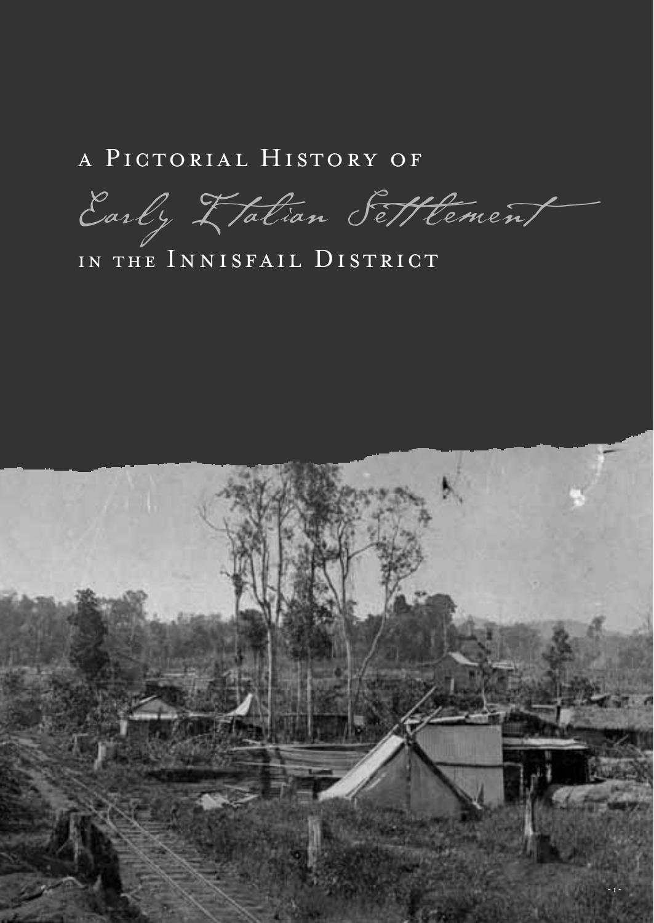#### a Pictorial History of

Early L'alian Settlement

#### IN THE INNISFAIL DISTRICT

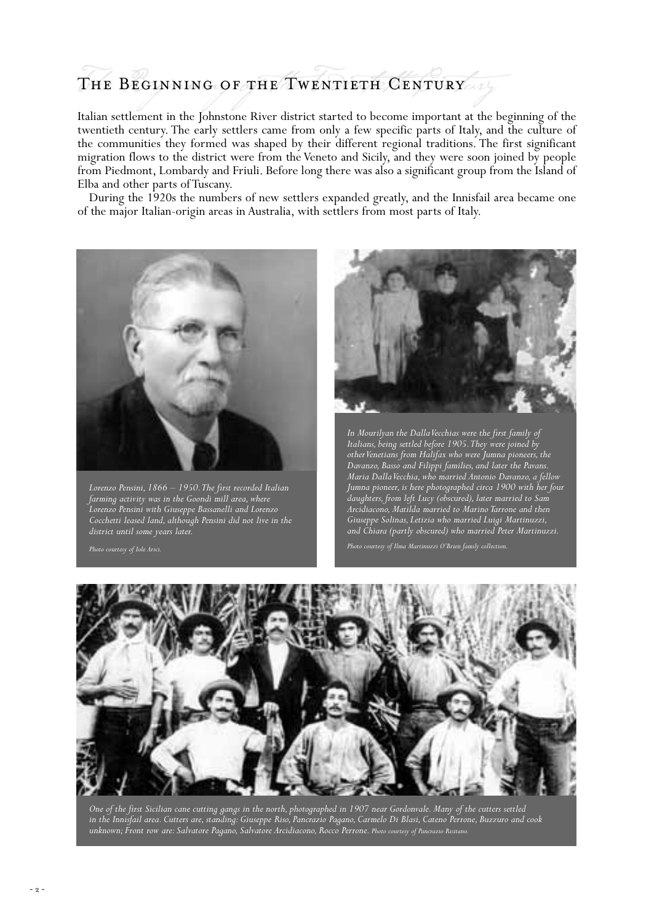### The Beginning of the Twentieth Century

Italian settlement in the Johnstone River district started to become important at the beginning of the twentieth century. The early settlers came from only a few specific parts of Italy, and the culture of the communities they formed was shaped by their different regional traditions. The first significant migration flows to the district were from the Veneto and Sicily, and they were soon joined by people from Piedmont, Lombardy and Friuli. Before long there was also a significant group from the Island of Elba and other parts of Tuscany.

During the 1920s the numbers of new settlers expanded greatly, and the Innisfail area became one of the major Italian-origin areas in Australia, with settlers from most parts of Italy.



*Lorenzo Pensini, 1866 – 1950.The first recorded Italian farming activity was in the Goondi mill area, where Lorenzo Pensini with Giuseppe Bassanelli and Lorenzo Cocchetti leased land, although Pensini did not live in the district until some years later.*



*In Mourilyan the Dalla Vecchias were the first family of Italians, being settled before 1905.They were joined by other Venetians from Halifax who were Jumna pioneers, the Davanzo, Basso and Filippi families, and later the Pavans. Maria Dalla Vecchia, who married Antonio Davanzo, a fellow Jumna pioneer, is here photographed circa 1900 with her four daughters, from left Lucy (obscured), later married to Sam Arcidiacono, Matilda married to Marino Tarrone and then Giuseppe Solinas, Letizia who married Luigi Martinuzzi, and Chiara (partly obscured) who married Peter Martinuzzi.*



*One of the first Sicilian cane cutting gangs in the north, photographed in 1907 near Gordonvale. Many of the cutters settled*  in the Innisfail area. Cutters are, standing: Giuseppe Riso, Pancrazio Pagano, Carmelo Di Blasi, Cateno Perrone, Buzzuro and cook<br>unknown; Front row are: Salvatore Pagano, Salvatore Arcidiacono, Rocco Perrone. <sub>Photo court</sub>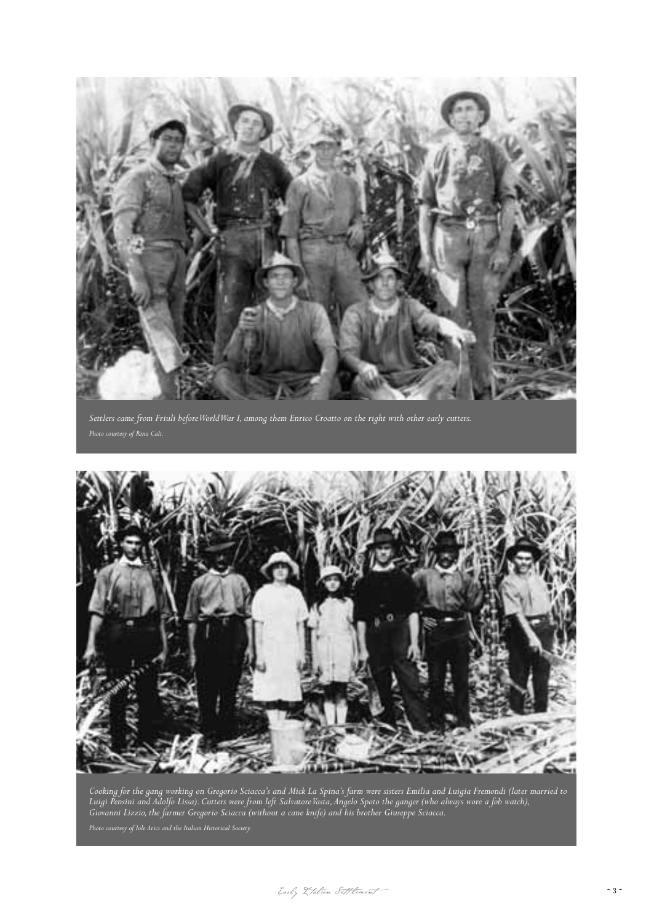

*Settlers came from Friuli before World War I, among them Enrico Croatto on the right with other early cutters.*



*Cooking for the gang working on Gregorio Sciacca's and Mick La Spina's farm were sisters Emilia and Luigia Fremondi (later married to Luigi Pensini and Adolfo Lissa). Cutters were from left Salvatore Vasta,Angelo Spoto the ganger (who always wore a fob watch), Giovanni Lizzio, the farmer Gregorio Sciacca (without a cane knife) and his brother Giuseppe Sciacca.*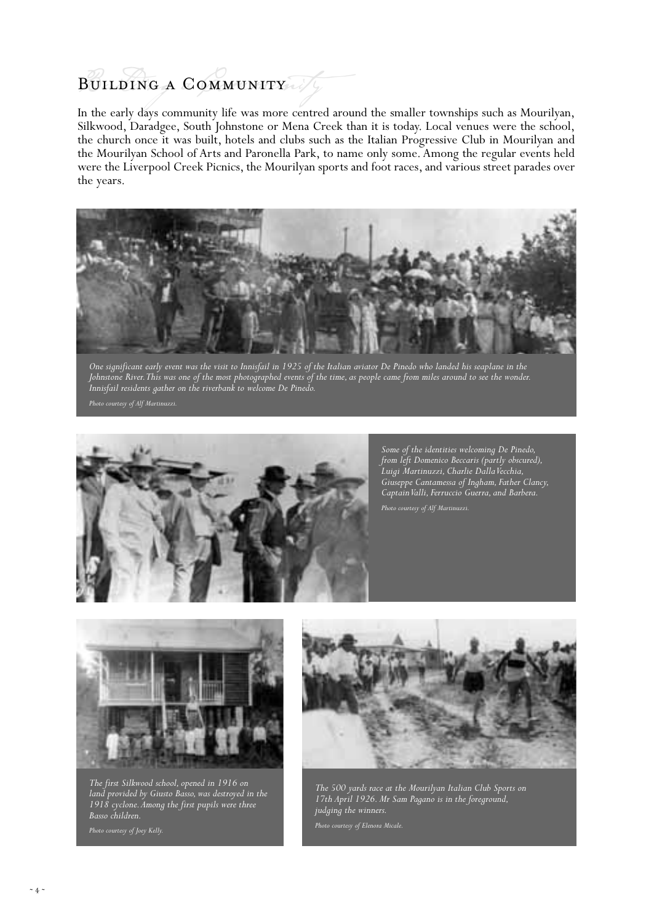### Building a Community

In the early days community life was more centred around the smaller townships such as Mourilyan, Silkwood, Daradgee, South Johnstone or Mena Creek than it is today. Local venues were the school, the church once it was built, hotels and clubs such as the Italian Progressive Club in Mourilyan and the Mourilyan School of Arts and Paronella Park, to name only some. Among the regular events held were the Liverpool Creek Picnics, the Mourilyan sports and foot races, and various street parades over the years.



*One significant early event was the visit to Innisfail in 1925 of the Italian aviator De Pinedo who landed his seaplane in the Johnstone River.This was one of the most photographed events of the time, as people came from miles around to see the wonder. Innisfail residents gather on the riverbank to welcome De Pinedo.*

*Photo courtesy of Alf Martinuzzi.*



*Some of the identities welcoming De Pinedo, from left Domenico Beccaris (partly obscured), Luigi Martinuzzi, Charlie Dalla Vecchia, Giuseppe Cantamessa of Ingham, Father Clancy, Captain Valli, Ferruccio Guerra, and Barbera. Photo courtesy of Alf Martinuzzi.*



*The first Silkwood school, opened in 1916 on land provided by Giusto Basso, was destroyed in the 1918 cyclone.Among the first pupils were three Basso children.*



*The 500 yards race at the Mourilyan Italian Club Sports on 17th April 1926. Mr Sam Pagano is in the foreground, judging the winners.*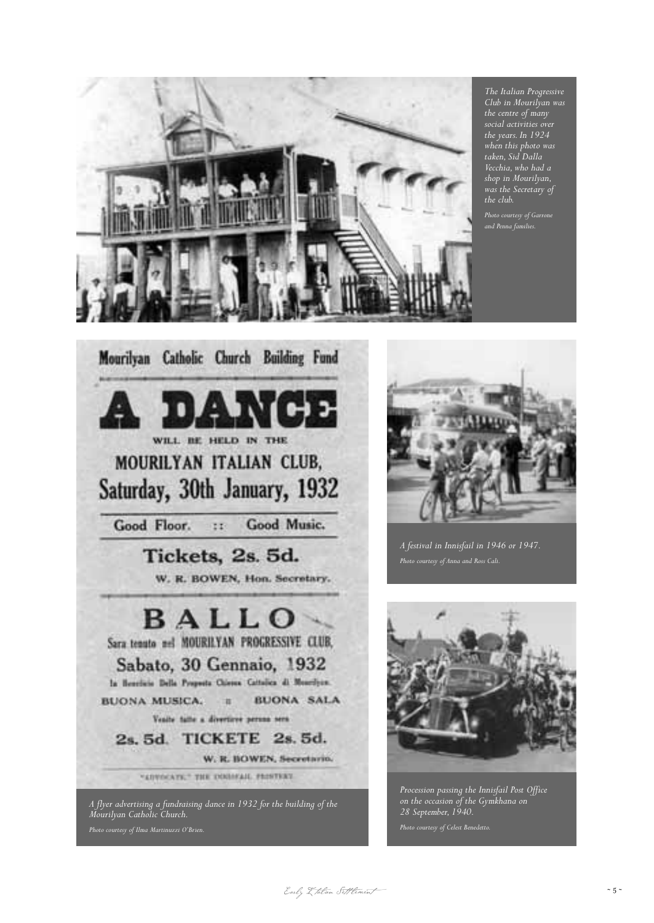

*The Italian Progressive Club in Mourilyan was the centre of many social activities over the years. In 1924 when this photo was taken, Sid Dalla Vecchia, who had a shop in Mourilyan, was the Secretary of the club.*

*Photo courtesy of Garrone and Penna families.*





*A festival in Innisfail in 1946 or 1947.*



*Procession passing the Innisfail Post Office on the occasion of the Gymkhana on 28 September, 1940.*

Early I talian Settlement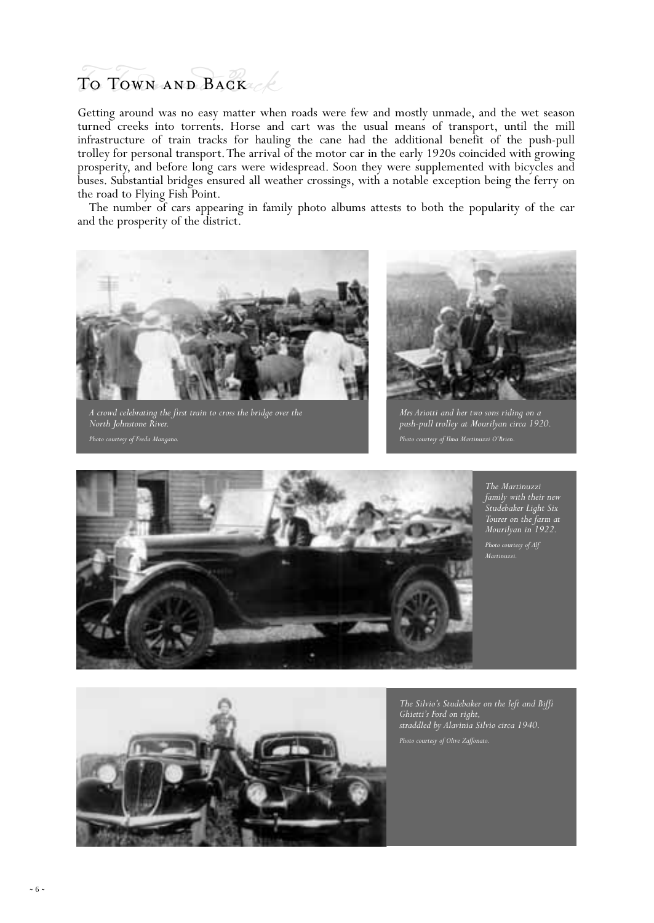# To Town and Back To Town and Back

Getting around was no easy matter when roads were few and mostly unmade, and the wet season turned creeks into torrents. Horse and cart was the usual means of transport, until the mill infrastructure of train tracks for hauling the cane had the additional benefit of the push-pull trolley for personal transport.The arrival of the motor car in the early 1920s coincided with growing prosperity, and before long cars were widespread. Soon they were supplemented with bicycles and buses. Substantial bridges ensured all weather crossings, with a notable exception being the ferry on the road to Flying Fish Point.

The number of cars appearing in family photo albums attests to both the popularity of the car and the prosperity of the district.



*A crowd celebrating the first train to cross the bridge over the North Johnstone River. Photo courtesy of Freda Mangano.*



*Mrs Ariotti and her two sons riding on a push-pull trolley at Mourilyan circa 1920.*



*The Martinuzzi family with their new Studebaker Light Six Tourer on the farm at Mourilyan in 1922.*

*Martinuzzi.*



*The Silvio's Studebaker on the left and Biffi Ghietti's Ford on right, straddled by Alavinia Silvio circa 1940.*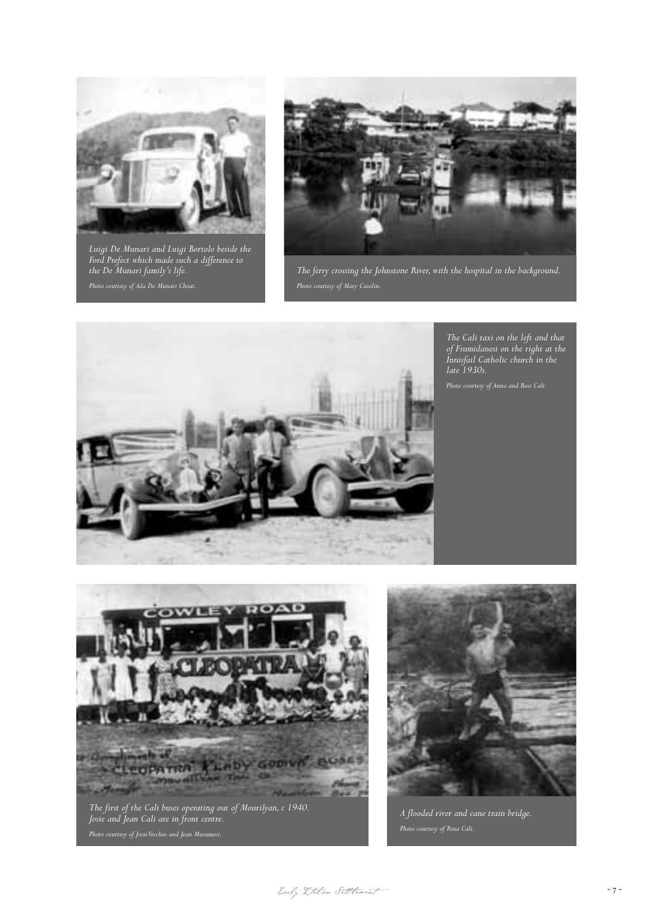

*Luigi De Munari and Luigi Bortolo beside the Ford Prefect which made such a difference to the De Munari family's life.*



*The ferry crossing the Johnstone River, with the hospital in the background.*



*The Cali taxi on the left and that of Fiumidanesi on the right at the Innisfail Catholic church in the late 1930s.*



*The first of the Cali buses operating out of Mourilyan, c 1940. Josie and Jean Cali are in front centre.*



*A flooded river and cane train bridge.*

Early Italian Settlement ~ 7 ~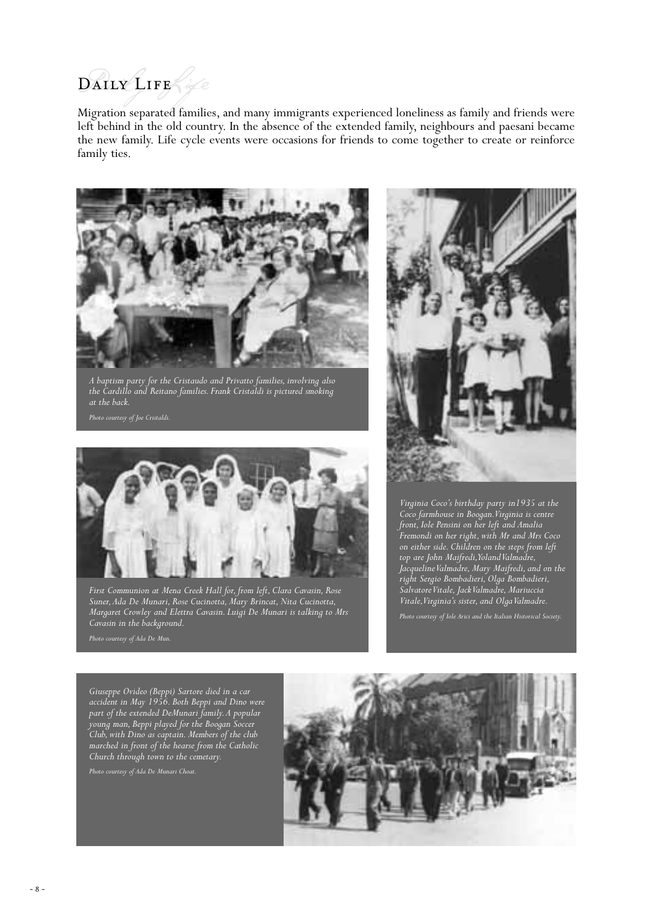# DAILY LIFE ife

Migration separated families, and many immigrants experienced loneliness as family and friends were left behind in the old country. In the absence of the extended family, neighbours and paesani became the new family. Life cycle events were occasions for friends to come together to create or reinforce family ties.



*A baptism party for the Cristaudo and Privatto families, involving also the Cardillo and Reitano families. Frank Cristaldi is pictured smoking at the back.*



*First Communion at Mena Creek Hall for, from left, Clara Cavasin, Rose Suner,Ada De Munari, Rose Cucinotta, Mary Brincat, Nita Cucinotta, Margaret Crowley and Elettra Cavasin. Luigi De Munari is talking to Mrs Cavasin in the background.*



*Virginia Coco's birthday party in1935 at the Coco farmhouse in Boogan.Virginia is centre front, Iole Pensini on her left and Amalia Fremondi on her right, with Mr and Mrs Coco on either side. Children on the steps from left top are John Maifredi,Yoland Valmadre, Jacqueline Valmadre, Mary Maifredi, and on the right Sergio Bombadieri, Olga Bombadieri, Salvatore Vitale, Jack Valmadre, Mariuccia Vitale,Virginia's sister, and Olga Valmadre.*

*Giuseppe Ovideo (Beppi) Sartore died in a car accident in May 1956. Both Beppi and Dino were part of the extended DeMunari family.A popular young man, Beppi played for the Boogan Soccer Club, with Dino as captain. Members of the club marched in front of the hearse from the Catholic Church through town to the cemetary.*

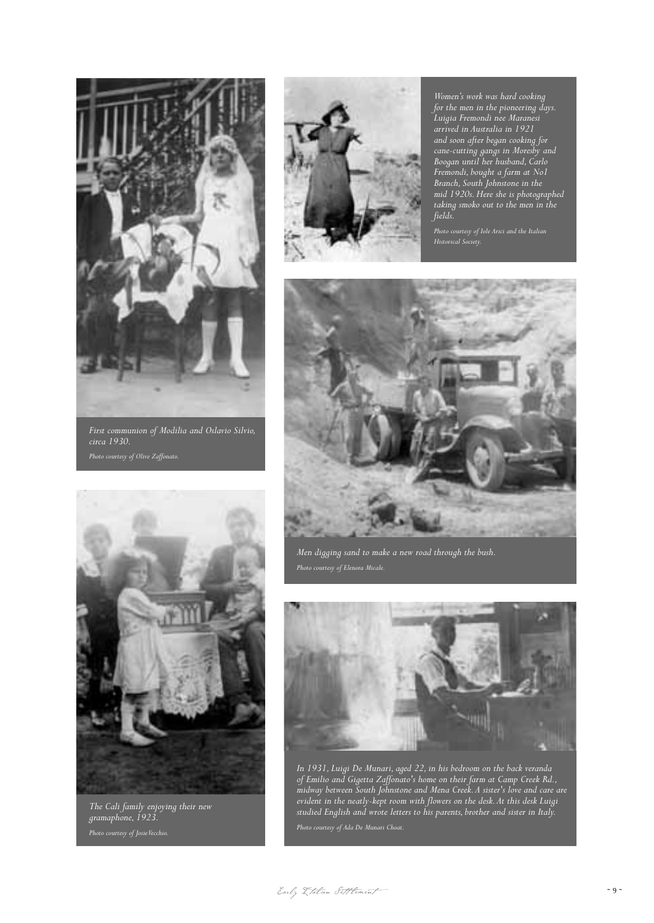

*First communion of Modilia and Oslavio Silvio, circa 1930. Photo courtesy of Olive Zaffonato.*



*The Cali family enjoying their new gramaphone, 1923.*



*Women's work was hard cooking for the men in the pioneering days. Luigia Fremondi nee Maranesi arrived in Australia in 1921 and soon after began cooking for cane-cutting gangs in Moresby and Boogan until her husband, Carlo Fremondi, bought a farm at No1 Branch, South Johnstone in the mid 1920s. Here she is photographed taking smoko out to the men in the fields.*

*Photo courtesy of Iole Arici and the Italian Historical Society.*



*Men digging sand to make a new road through the bush.*



*In 1931, Luigi De Munari, aged 22, in his bedroom on the back veranda of Emilio and Gigetta Zaffonato's home on their farm at Camp Creek Rd., midway between South Johnstone and Mena Creek.A sister's love and care are evident in the neatly-kept room with flowers on the desk.At this desk Luigi studied English and wrote letters to his parents, brother and sister in Italy.*

Early Italian Settlement ~ 9 ~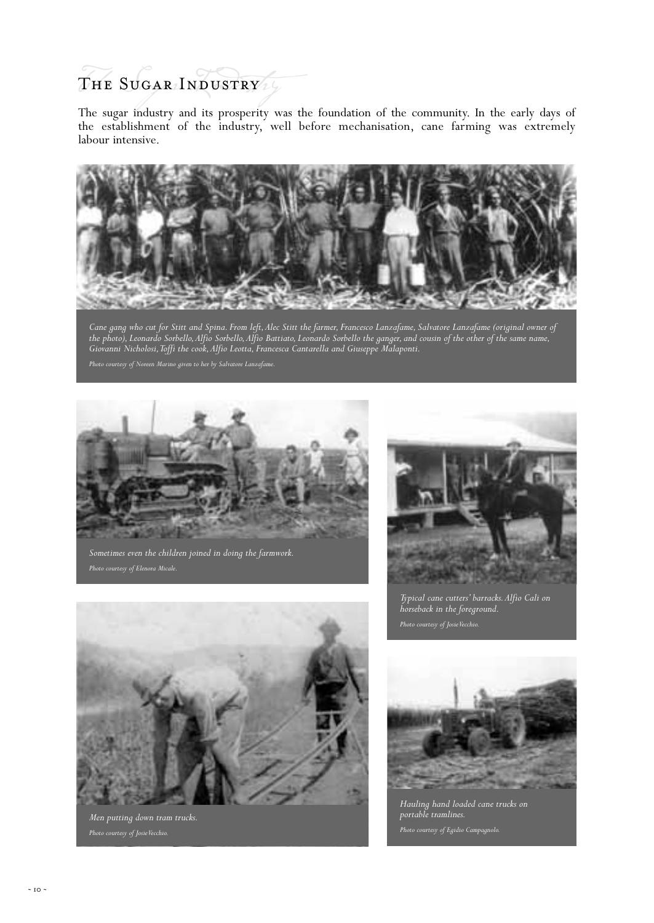# The Sugar Industry /

The sugar industry and its prosperity was the foundation of the community. In the early days of the establishment of the industry, well before mechanisation, cane farming was extremely labour intensive.



*Cane gang who cut for Stitt and Spina. From left,Alec Stitt the farmer, Francesco Lanzafame, Salvatore Lanzafame (original owner of the photo), Leonardo Sorbello,Alfio Sorbello,Alfio Battiato, Leonardo Sorbello the ganger, and cousin of the other of the same name, Giovanni Nicholosi,Toffi the cook,Alfio Leotta, Francesca Cantarella and Giuseppe Malaponti.*



*Sometimes even the children joined in doing the farmwork.*



*Typical cane cutters' barracks.Alfio Cali on horseback in the foreground. Photo courtesy of Josie Vecchio.*



*Men putting down tram trucks.*



*Hauling hand loaded cane trucks on portable tramlines. Photo courtesy of Egidio Campagnolo.*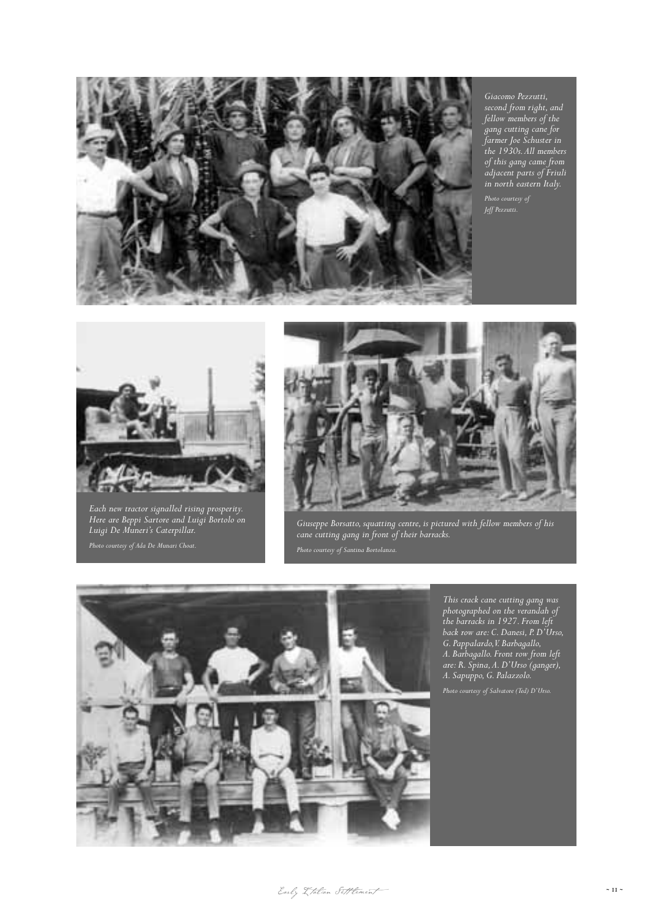

*second from right, and fellow members of the gang cutting cane for farmer Joe Schuster in the 1930s.All members of this gang came from adjacent parts of Friuli in north eastern Italy.*

*Photo courtesy of Jeff Pezzutti.*



*Each new tractor signalled rising prosperity. Here are Beppi Sartore and Luigi Bortolo on Luigi De Muneri's Caterpillar.*



*Giuseppe Borsatto, squatting centre, is pictured with fellow members of his cane cutting gang in front of their barracks.*



*This crack cane cutting gang was photographed on the verandah of the barracks in 1927. From left back row are: C. Danesi, P. D'Urso, G. Pappalardo,V. Barbagallo, A. Barbagallo. Front row from left are: R. Spina,A. D'Urso (ganger), A. Sapuppo, G. Palazzolo.*

Early I talian Settlement ~ 11 ~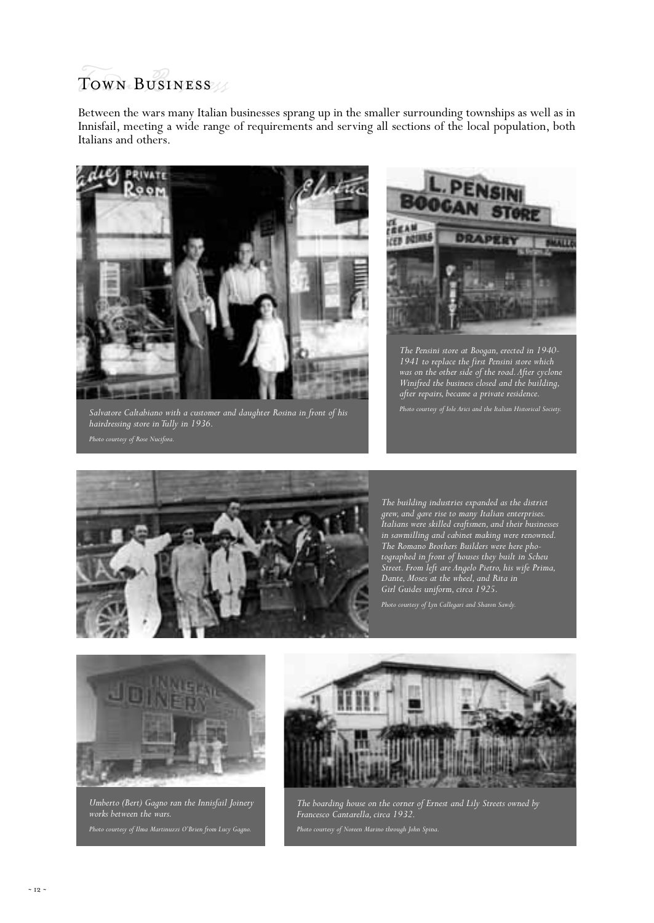# Town Business Town Business

Between the wars many Italian businesses sprang up in the smaller surrounding townships as well as in Innisfail, meeting a wide range of requirements and serving all sections of the local population, both Italians and others.



*Salvatore Caltabiano with a customer and daughter Rosina in front of his hairdressing store in Tully in 1936.*



*The Pensini store at Boogan, erected in 1940- 1941 to replace the first Pensini store which was on the other side of the road.After cyclone Winifred the business closed and the building, after repairs, became a private residence.*



*The building industries expanded as the district grew, and gave rise to many Italian enterprises. Italians were skilled craftsmen, and their businesses in sawmilling and cabinet making were renowned. The Romano Brothers Builders were here photographed in front of houses they built in Scheu Street. From left are Angelo Pietro, his wife Prima, Dante, Moses at the wheel, and Rita in Girl Guides uniform, circa 1925.*



*Umberto (Bert) Gagno ran the Innisfail Joinery works between the wars. Photo courtesy of Ilma Martinuzzi O'Brien from Lucy Gagno.*



*The boarding house on the corner of Ernest and Lily Streets owned by Francesco Cantarella, circa 1932.*

*Photo courtesy of Noreen Marino through John Spina.*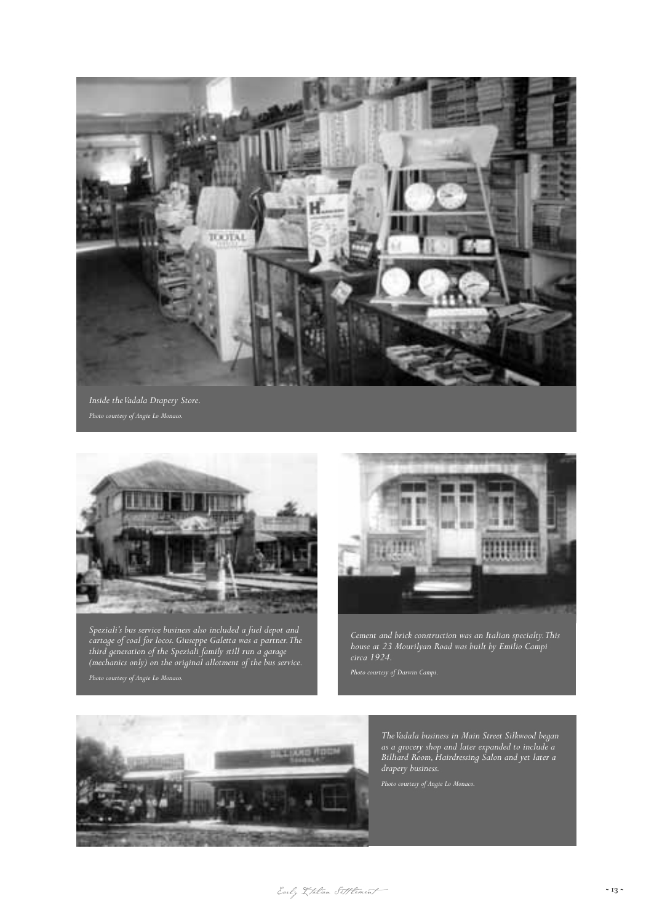

*Inside the Vadala Drapery Store.*



*Speziali's bus service business also included a fuel depot and cartage of coal for locos. Giuseppe Galetta was a partner.The third generation of the Speziali family still run a garage (mechanics only) on the original allotment of the bus service.*



*Cement and brick construction was an Italian specialty.This house at 23 Mourilyan Road was built by Emilio Campi circa 1924.*



*The Vadala business in Main Street Silkwood began as a grocery shop and later expanded to include a Billiard Room, Hairdressing Salon and yet later a drapery business.*

Early Italian Settlement ~ 13 ~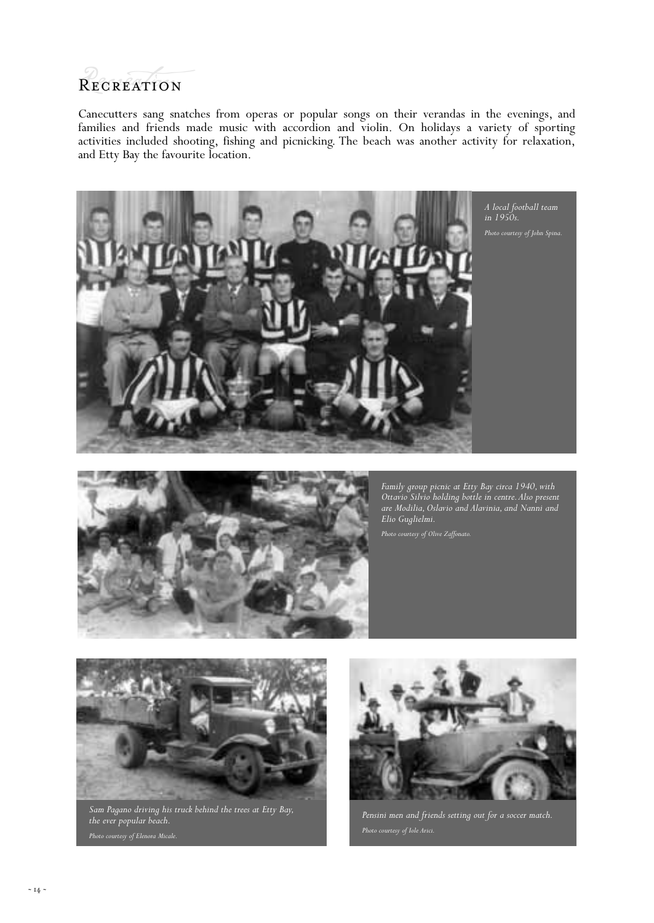#### **RECREATION**

Canecutters sang snatches from operas or popular songs on their verandas in the evenings, and families and friends made music with accordion and violin. On holidays a variety of sporting activities included shooting, fishing and picnicking. The beach was another activity for relaxation, and Etty Bay the favourite location.



*A local football team in 1950s.*



*Family group picnic at Etty Bay circa 1940, with Ottavio Silvio holding bottle in centre.Also present are Modilia, Oslavio and Alavinia, and Nanni and Elio Guglielmi.*

*Photo courtesy of Olive Zaffonato.*



*Sam Pagano driving his truck behind the trees at Etty Bay, the ever popular beach.*



*Pensini men and friends setting out for a soccer match.*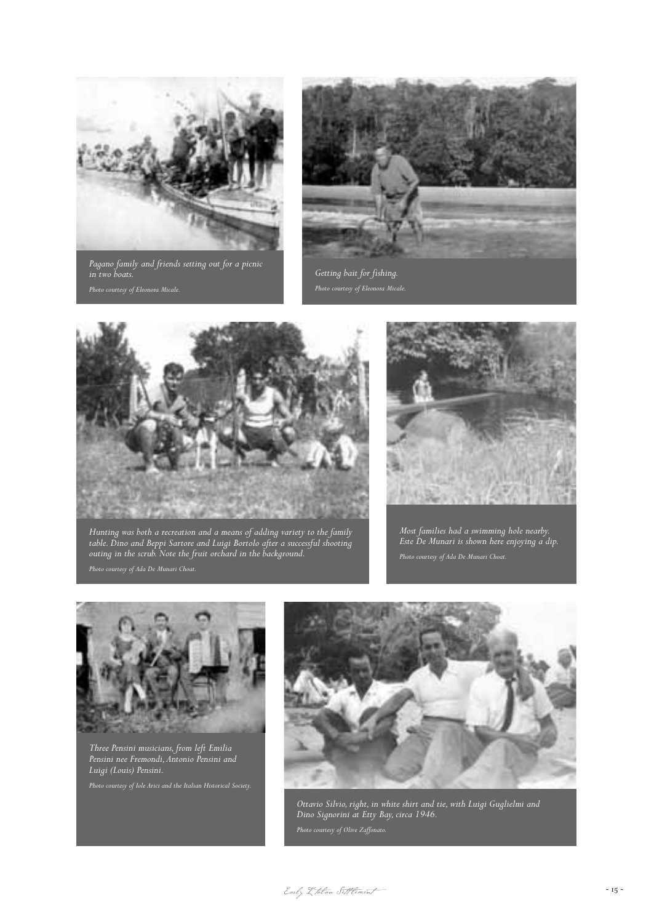

*Pagano family and friends setting out for a picnic* 



*Getting bait for fishing.*



*Hunting was both a recreation and a means of adding variety to the family table. Dino and Beppi Sartore and Luigi Bortolo after a successful shooting outing in the scrub. Note the fruit orchard in the background.*



*Most families had a swimming hole nearby. Este De Munari is shown here enjoying a dip.*



*Three Pensini musicians, from left Emilia Pensini nee Fremondi,Antonio Pensini and Luigi (Louis) Pensini.*



*Ottavio Silvio, right, in white shirt and tie, with Luigi Guglielmi and Dino Signorini at Etty Bay, circa 1946.*

Early  $\chi$  talian Sett lement  $~15$  ~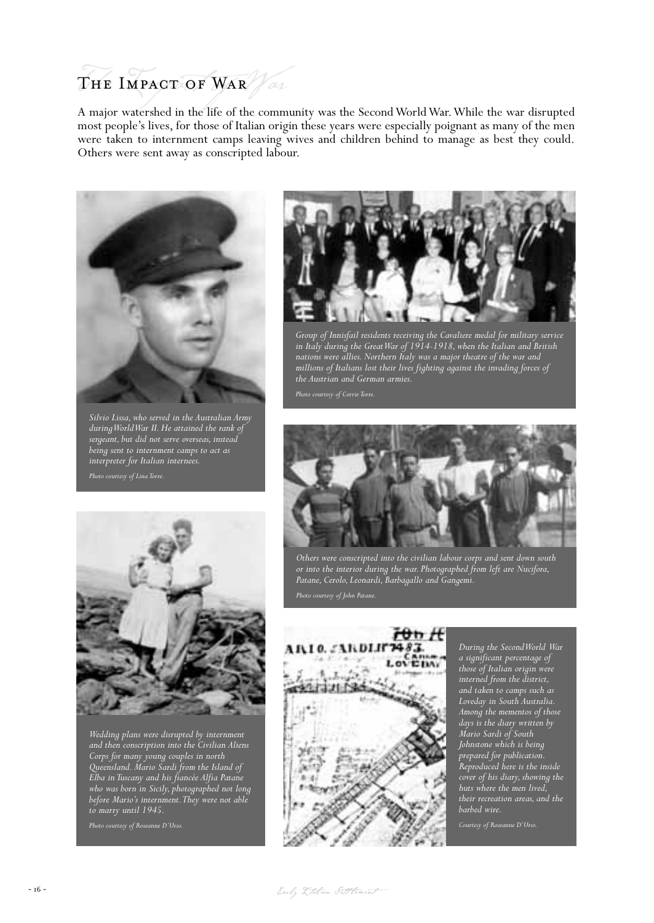# THE IMPACT OF WAR  $\mathcal{N}$  or

A major watershed in the life of the community was the Second World War.While the war disrupted most people's lives, for those of Italian origin these years were especially poignant as many of the men were taken to internment camps leaving wives and children behind to manage as best they could. Others were sent away as conscripted labour.



*Silvio Lissa, who served in the Australian Army during World War II. He attained the rank of sergeant, but did not serve overseas, instead being sent to internment camps to act as interpreter for Italian internees.*



*Wedding plans were disrupted by internment and then conscription into the Civilian Aliens Corps for many young couples in north Queensland. Mario Sardi from the Island of Elba in Tuscany and his fiancée Alfia Patane who was born in Sicily, photographed not long before Mario's internment.They were not able to marry until 1945.*



*Group of Innisfail residents receiving the Cavaliere medal for military service in Italy during the Great War of 1914-1918, when the Italian and British nations were allies. Northern Italy was a major theatre of the war and millions of Italians lost their lives fighting against the invading forces of the Austrian and German armies.*



*Others were conscripted into the civilian labour corps and sent down south or into the interior during the war. Photographed from left are Nucifora, Patane, Cerolo, Leonardi, Barbagallo and Gangemi.*



*During the Second World War a significant percentage of those of Italian origin were interned from the district, and taken to camps such as Loveday in South Australia. Among the mementos of those days is the diary written by Mario Sardi of South Johnstone which is being prepared for publication. Reproduced here is the inside cover of his diary, showing the huts where the men lived, their recreation areas, and the barbed wire.*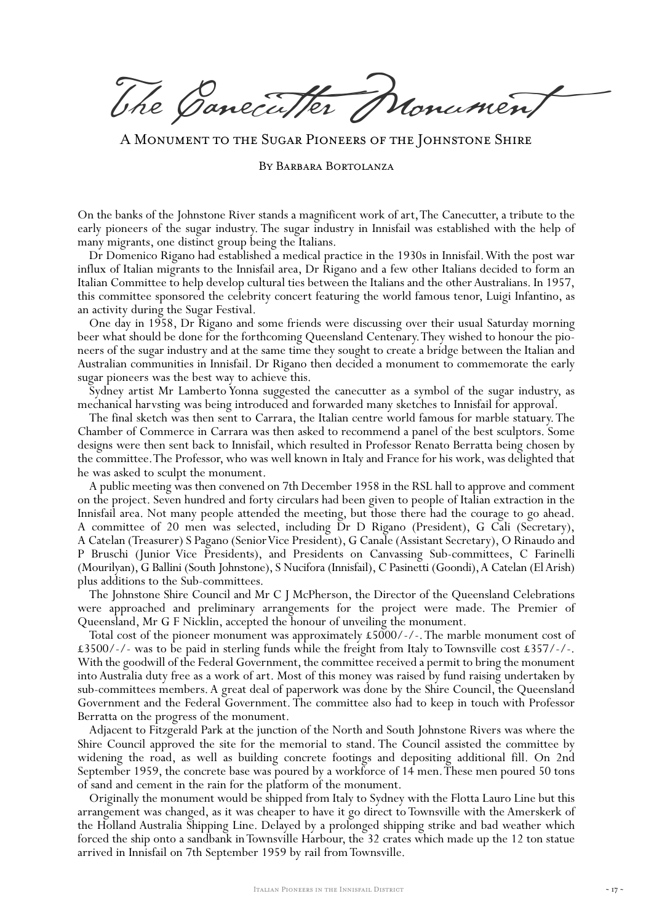The Canecutter Monument

A Monument to the Sugar Pioneers of the Johnstone Shire

By Barbara Bortolanza

On the banks of the Johnstone River stands a magnificent work of art,The Canecutter, a tribute to the early pioneers of the sugar industry. The sugar industry in Innisfail was established with the help of many migrants, one distinct group being the Italians.

Dr Domenico Rigano had established a medical practice in the 1930s in Innisfail.With the post war influx of Italian migrants to the Innisfail area, Dr Rigano and a few other Italians decided to form an Italian Committee to help develop cultural ties between the Italians and the other Australians. In 1957, this committee sponsored the celebrity concert featuring the world famous tenor, Luigi Infantino, as an activity during the Sugar Festival.

One day in 1958, Dr Rigano and some friends were discussing over their usual Saturday morning beer what should be done for the forthcoming Queensland Centenary.They wished to honour the pioneers of the sugar industry and at the same time they sought to create a bridge between the Italian and Australian communities in Innisfail. Dr Rigano then decided a monument to commemorate the early sugar pioneers was the best way to achieve this.

Sydney artist Mr Lamberto Yonna suggested the canecutter as a symbol of the sugar industry, as mechanical harvsting was being introduced and forwarded many sketches to Innisfail for approval.

The final sketch was then sent to Carrara, the Italian centre world famous for marble statuary.The Chamber of Commerce in Carrara was then asked to recommend a panel of the best sculptors. Some designs were then sent back to Innisfail, which resulted in Professor Renato Berratta being chosen by the committee.The Professor, who was well known in Italy and France for his work, was delighted that he was asked to sculpt the monument.

A public meeting was then convened on 7th December 1958 in the RSL hall to approve and comment on the project. Seven hundred and forty circulars had been given to people of Italian extraction in the Innisfail area. Not many people attended the meeting, but those there had the courage to go ahead. A committee of 20 men was selected, including Dr D Rigano (President), G Cali (Secretary), A Catelan (Treasurer) S Pagano (Senior Vice President), G Canale (Assistant Secretary), O Rinaudo and P Bruschi (Junior Vice Presidents), and Presidents on Canvassing Sub-committees, C Farinelli (Mourilyan), G Ballini (South Johnstone), S Nucifora (Innisfail), C Pasinetti (Goondi),A Catelan (El Arish) plus additions to the Sub-committees.

The Johnstone Shire Council and Mr C J McPherson, the Director of the Queensland Celebrations were approached and preliminary arrangements for the project were made. The Premier of Queensland, Mr G F Nicklin, accepted the honour of unveiling the monument.

Total cost of the pioneer monument was approximately  $\text{\pounds}5000$ /-/-. The marble monument cost of £3500/-/- was to be paid in sterling funds while the freight from Italy to Townsville cost £357/-/-. With the goodwill of the Federal Government, the committee received a permit to bring the monument into Australia duty free as a work of art. Most of this money was raised by fund raising undertaken by sub-committees members. A great deal of paperwork was done by the Shire Council, the Queensland Government and the Federal Government. The committee also had to keep in touch with Professor Berratta on the progress of the monument.

Adjacent to Fitzgerald Park at the junction of the North and South Johnstone Rivers was where the Shire Council approved the site for the memorial to stand. The Council assisted the committee by widening the road, as well as building concrete footings and depositing additional fill. On 2nd September 1959, the concrete base was poured by a workforce of 14 men.These men poured 50 tons of sand and cement in the rain for the platform of the monument.

Originally the monument would be shipped from Italy to Sydney with the Flotta Lauro Line but this arrangement was changed, as it was cheaper to have it go direct to Townsville with the Amerskerk of the Holland Australia Shipping Line. Delayed by a prolonged shipping strike and bad weather which forced the ship onto a sandbank in Townsville Harbour, the 32 crates which made up the 12 ton statue arrived in Innisfail on 7th September 1959 by rail from Townsville.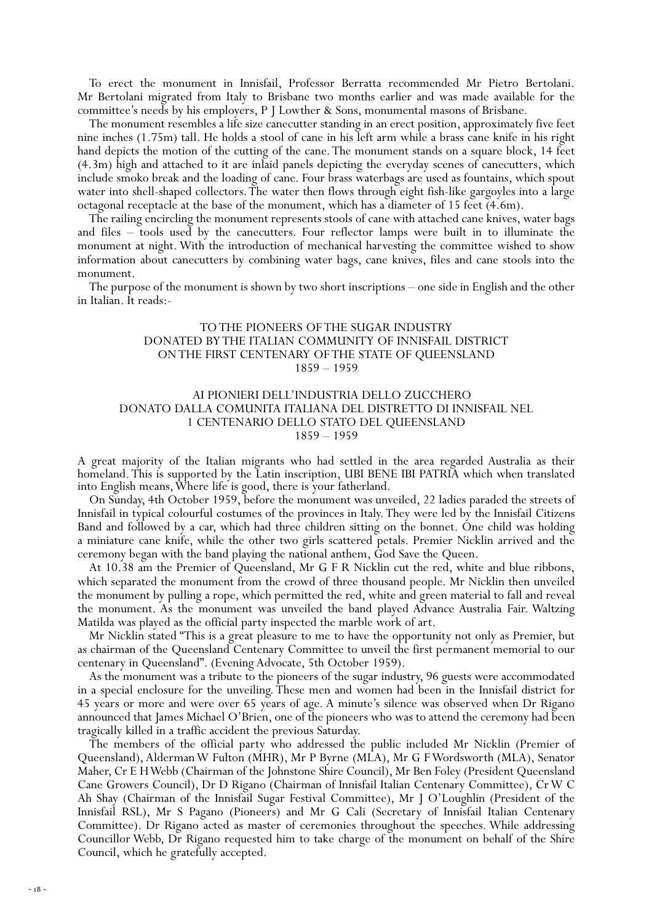To erect the monument in Innisfail, Professor Berratta recommended Mr Pietro Bertolani. Mr Bertolani migrated from Italy to Brisbane two months earlier and was made available for the committee's needs by his employers, P J Lowther & Sons, monumental masons of Brisbane.

The monument resembles a life size canecutter standing in an erect position, approximately five feet nine inches (1.75m) tall. He holds a stool of cane in his left arm while a brass cane knife in his right hand depicts the motion of the cutting of the cane. The monument stands on a square block, 14 feet (4.3m) high and attached to it are inlaid panels depicting the everyday scenes of canecutters, which include smoko break and the loading of cane. Four brass waterbags are used as fountains, which spout water into shell-shaped collectors.The water then flows through eight fish-like gargoyles into a large octagonal receptacle at the base of the monument, which has a diameter of 15 feet (4.6m).

The railing encircling the monument represents stools of cane with attached cane knives, water bags and files – tools used by the canecutters. Four reflector lamps were built in to illuminate the monument at night. With the introduction of mechanical harvesting the committee wished to show information about canecutters by combining water bags, cane knives, files and cane stools into the monument.

The purpose of the monument is shown by two short inscriptions – one side in English and the other in Italian. It reads:-

#### TO THE PIONEERS OF THE SUGAR INDUSTRY DONATED BY THE ITALIAN COMMUNITY OF INNISFAIL DISTRICT ON THE FIRST CENTENARY OF THE STATE OF QUEENSLAND 1859 – 1959

#### AI PIONIERI DELL'INDUSTRIA DELLO ZUCCHERO DONATO DALLA COMUNITA ITALIANA DEL DISTRETTO DI INNISFAIL NEL 1 CENTENARIO DELLO STATO DEL QUEENSLAND 1859 – 1959

A great majority of the Italian migrants who had settled in the area regarded Australia as their homeland. This is supported by the Latin inscription, UBI BENE IBI PATRIA which when translated into English means, Where life is good, there is your fatherland.

On Sunday, 4th October 1959, before the monument was unveiled, 22 ladies paraded the streets of Innisfail in typical colourful costumes of the provinces in Italy.They were led by the Innisfail Citizens Band and followed by a car, which had three children sitting on the bonnet. One child was holding a miniature cane knife, while the other two girls scattered petals. Premier Nicklin arrived and the ceremony began with the band playing the national anthem, God Save the Queen.

At 10.38 am the Premier of Queensland, Mr G F R Nicklin cut the red, white and blue ribbons, which separated the monument from the crowd of three thousand people. Mr Nicklin then unveiled the monument by pulling a rope, which permitted the red, white and green material to fall and reveal the monument. As the monument was unveiled the band played Advance Australia Fair. Waltzing Matilda was played as the official party inspected the marble work of art.

Mr Nicklin stated "This is a great pleasure to me to have the opportunity not only as Premier, but as chairman of the Queensland Centenary Committee to unveil the first permanent memorial to our centenary in Queensland". (Evening Advocate, 5th October 1959).

As the monument was a tribute to the pioneers of the sugar industry, 96 guests were accommodated in a special enclosure for the unveiling. These men and women had been in the Innisfail district for 45 years or more and were over 65 years of age. A minute's silence was observed when Dr Rigano announced that James Michael O'Brien, one of the pioneers who was to attend the ceremony had been tragically killed in a traffic accident the previous Saturday.

The members of the official party who addressed the public included Mr Nicklin (Premier of Queensland), Alderman W Fulton (MHR), Mr P Byrne (MLA), Mr G F Wordsworth (MLA), Senator Maher, Cr E H Webb (Chairman of the Johnstone Shire Council), Mr Ben Foley (President Queensland Cane Growers Council), Dr D Rigano (Chairman of Innisfail Italian Centenary Committee), Cr W C Ah Shay (Chairman of the Innisfail Sugar Festival Committee), Mr J O'Loughlin (President of the Innisfail RSL), Mr S Pagano (Pioneers) and Mr G Cali (Secretary of Innisfail Italian Centenary Committee). Dr Rigano acted as master of ceremonies throughout the speeches. While addressing Councillor Webb, Dr Rigano requested him to take charge of the monument on behalf of the Shire Council, which he gratefully accepted.